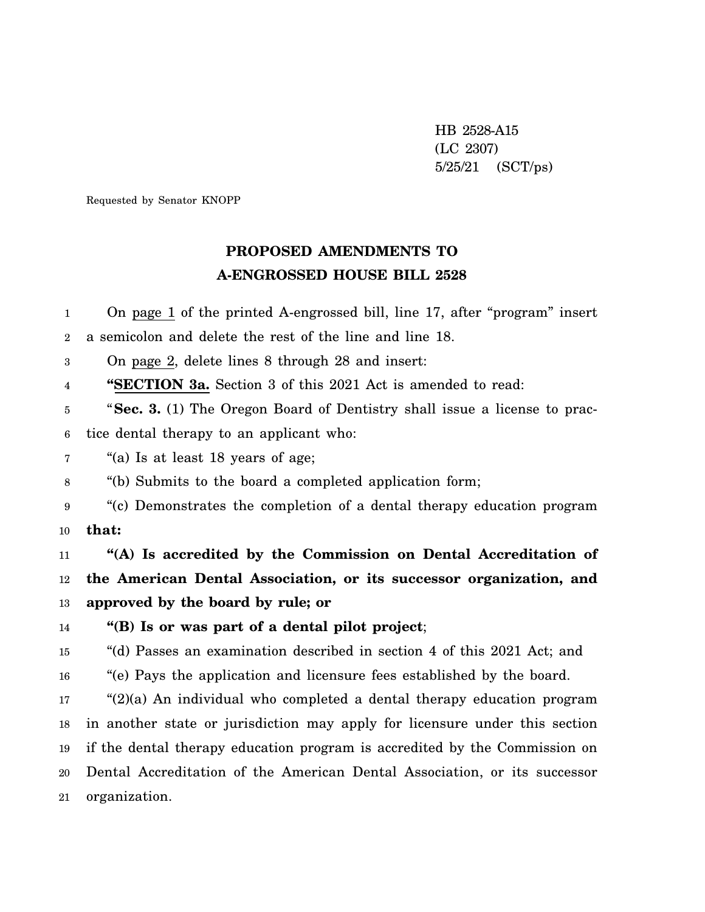HB 2528-A15 (LC 2307) 5/25/21 (SCT/ps)

Requested by Senator KNOPP

## **PROPOSED AMENDMENTS TO A-ENGROSSED HOUSE BILL 2528**

1 2 3 4 5 6 7 8 9 10 11 12 13 14 15 16 17 18 19 20 21 On page 1 of the printed A-engrossed bill, line 17, after "program" insert a semicolon and delete the rest of the line and line 18. On page 2, delete lines 8 through 28 and insert: **"SECTION 3a.** Section 3 of this 2021 Act is amended to read: "**Sec. 3.** (1) The Oregon Board of Dentistry shall issue a license to practice dental therapy to an applicant who: "(a) Is at least 18 years of age; "(b) Submits to the board a completed application form; "(c) Demonstrates the completion of a dental therapy education program **that: "(A) Is accredited by the Commission on Dental Accreditation of the American Dental Association, or its successor organization, and approved by the board by rule; or "(B) Is or was part of a dental pilot project**; "(d) Passes an examination described in section 4 of this 2021 Act; and "(e) Pays the application and licensure fees established by the board. " $(2)(a)$  An individual who completed a dental therapy education program in another state or jurisdiction may apply for licensure under this section if the dental therapy education program is accredited by the Commission on Dental Accreditation of the American Dental Association, or its successor organization.